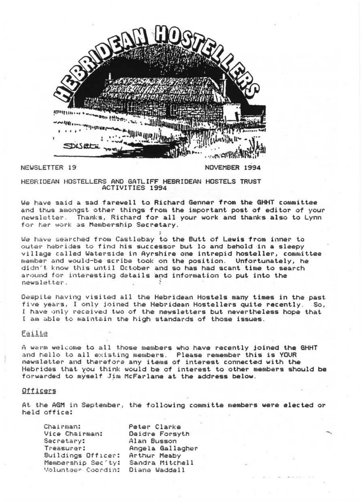

NEWSLETTER 19

NOVEMBER 1994

HEBRIDEAN HOSTELLERS AND GATLIFF HEBRIDEAN HOSTELS TRUST ACTIVITIES 1994

We have said a sad farewell to Richard Genner from the GHHT committee and thus amongst other things from the important post of editor of your newsletter. Thanks, Richard for all your work and thanks also to Lynn for her work as Membership Secretary.

We have searched from Castlebay to the Butt of Lewis from inner to outer hebrides to find his successor but lo and behold in a sleepy village called Waterside in Ayrshire one intrepid hosteller, committee member and would-be scribe took on the position. Unfortunately, he didn't know this until October and so has had scant time to search around for interesting details and information to put into the newsletter

Despite having visited all the Hebridean Hostels many times in the past five years, I only joined the Hebridean Hostellers quite recently. So, I have only received two of the newsletters but nevertheless hope that I am able to maintain the high standards of those issues.

# Failte

A warm welcome to all those members who have recently joined the GHHT and hello to all existing members. Please remember this is YOUR newsletter and therefore any items of interest connected with the Hebrides that you think would be of interest to other members should be forwarded to myself Jim McFarlane at the address below.

## Officers

At the AGM in September, the following committe members were elected or held office:

| Chairman:          | Peter Clarke     |
|--------------------|------------------|
| Vice Chairman:     | Deidre Forsyth   |
| Secretary:         | Alan Busson      |
| Treasurer:         | Angela Gallagher |
| Buildings Officer: | Arthur Meaby     |
| Membership Sec'ty: | Sandra Mitchell  |
| Voluntser Coordin: | Diane Waddell    |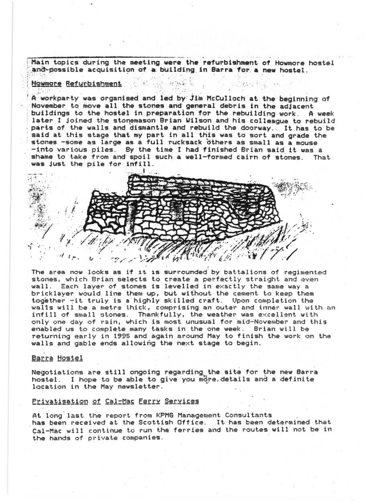Main topics during the meeting were the refurbishment of Howmore hostel and possible acquisition of a building in Barra for a new hostel.

# Howmore Refurbishment

A workparty was organised and led by Jim McCulloch at the beginning of November to move all the stones and general debris in the adjacent buildings to the hostel in preparation for the rebuilding work, A week later I joined the stonemason Brian Wilson and his colleague to rebuild parts of the walls and dismantle and rebuild the doorway. It has to be said at this stage that my part in all this was to sort and grade the stones -some as large as a full rucksack others as small as a mouse -into various piles. By the time I had finished Brian said it was a shame to take from and spoil such a well-formed cairn of stones. That was just the pile for infill.

I  $\ell$  .  $k$ 

The area now looks as if it is surrounded by battalions of regimented stones, which Brian selects to create a perfectly straight and even wall. Each layer of stones is levelled in exactly the same way a bricklayer would line them up, but without the cement to keep them together -it truly is a highly skilled craft. Upon completion the walls will be a metre thick, comprising an outer and inner wall with an<br>infill of small stones. Thankfully, the weather was excellent with Thankfully, the weather was excellent with only one day of rain, which is most unusual for mid-November and this<br>enabled us to complete many tasks in the one week. Brian will be enabled us to complete many tasks in the one week. returning early in 1995 and again around May to finish the work on the walls and gable ends allowing the next stage to begin.

, ,

### Barra Hostel

Negotiations are still ongoing regarding the site for the new Barra hostel. I hope to be able to give you more, details and a definite location in the May newsletter.

### Privatisation of Cal-Mac Eerry Services

At long'last the report. from KPMG Management Consultants has been received at the Scottish Office. It has been determined that Cal-Mac will continue to run the ferries and the routes will not be in the hands of private companies.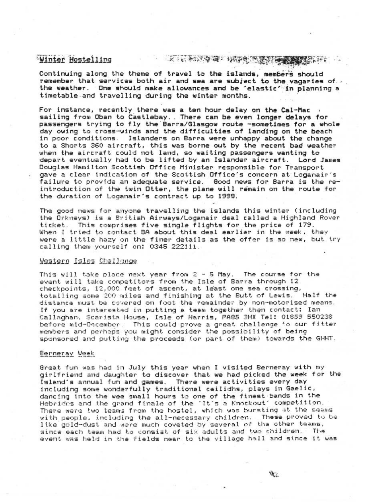# Winter Hostelling

# **THE ANNA REPAIRING THE COMPANY OF A REPORT**

Continuing along the theme of travel to the islands, members should remember that services both air and sea are subject to the vagaries of ...<br>the weather. One should make allowances and be 'elastic' In planning a timetable and travelling during the winter months.

For instance, recently there was a ten hour delay on the Cal-Mac sailing from Oban to Castlebay. There can be even longer delays for passengers trying to fly the Barra/Glasgow route -sometimes for a whole day owing to cross-winds and the difficulties of landing on the beach in poor conditions, Islanders on Barra were unhappy about the change to a Shorts 360 aircraft, this was borne out by the recent bad weather when the aircraft could not land, so waiting passengers wanting to<br>depart eventually had to be lifted by an Islander aircraft. Lord James depart eventually had to be lifted by an Islander aircraft. Douglas Hamilton Scottish Office Minister responsible for Transport gave a clear indication of the Scottish Office's concern at Loganair's failure to provide an adequate service. Good news for Barra is the reintroduction of the twin Otter, the plane will remain on the route for the duration of Loganair's contract up to 1998.

The good news for anyone travelling the islands this winter (including the Orkneys) is a British Airways/Loganair deal called a Highland Rover<br>ticket, This comprises five single flights for the price of 179. When I tried to contact BA about this deal earlier in the week, they were a little hazy on the finer details as the offer is so new, but try calling them yourself on: 0345 222111.

### Western Isles Challenge

This will take place next year from 2 - 5 May. The course for the event will take competitors from the Isle of Barra through 12 checkpoints, 12,000 feet of ascent, at least one sea crossing, totalling some 200 miles and finishing at the Butt of Lewis. Half the distance must be covered on foot the remainder by non-motorised means. If you are interested in putting a team together then contact: Ian Callaghan, Scarista House, Isle of Harris, PA85 3HX Tel: 01859 550238 before mid-December. This could prove a great challenge to our fitter members and perhaps you might consider the possibility of being sponsored and putting the proceeds (or part of them) towards the GHHT.

### Berneray Week

Great fun was had in July this year when I visited Berneray with my girlfriend and daughter to discover that we had picked the week for the Island's annual fun and games. There were activities every day including some wonderfully traditional ceilidhs, plays in Gaelic, dancing into the wee small hours to one of the finest bands in the<br>Hebrides and the grand finale of the ~It^s a Knockout~ competition. There were two teams from the hostel, which was bursting at the seams with people, including the all-necessary children. These proved to be like gold-dust and were much coveted by several of the other teams, since each team had to consist of six adults and two children. The event was held in the fields near to the village hall and since it was